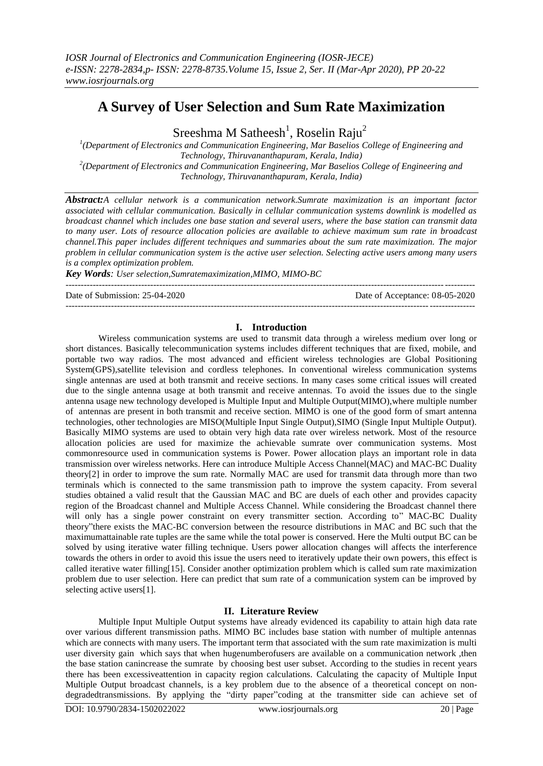# **A Survey of User Selection and Sum Rate Maximization**

Sreeshma M Satheesh<sup>1</sup>, Roselin Raju<sup>2</sup>

*1 (Department of Electronics and Communication Engineering, Mar Baselios College of Engineering and Technology, Thiruvananthapuram, Kerala, India) 2 (Department of Electronics and Communication Engineering, Mar Baselios College of Engineering and Technology, Thiruvananthapuram, Kerala, India)*

*Abstract:A cellular network is a communication network.Sumrate maximization is an important factor associated with cellular communication. Basically in cellular communication systems downlink is modelled as broadcast channel which includes one base station and several users, where the base station can transmit data to many user. Lots of resource allocation policies are available to achieve maximum sum rate in broadcast channel.This paper includes different techniques and summaries about the sum rate maximization. The major problem in cellular communication system is the active user selection. Selecting active users among many users is a complex optimization problem.* 

*Key Words: User selection,Sumratemaximization,MIMO, MIMO-BC* ---------------------------------------------------------------------------------------------------------------------------------------

Date of Submission: 25-04-2020 Date of Acceptance: 08-05-2020

### **I. Introduction**

---------------------------------------------------------------------------------------------------------------------------------------

Wireless communication systems are used to transmit data through a wireless medium over long or short distances. Basically telecommunication systems includes different techniques that are fixed, mobile, and portable two way radios. The most advanced and efficient wireless technologies are Global Positioning System(GPS),satellite television and cordless telephones. In conventional wireless communication systems single antennas are used at both transmit and receive sections. In many cases some critical issues will created due to the single antenna usage at both transmit and receive antennas. To avoid the issues due to the single antenna usage new technology developed is Multiple Input and Multiple Output(MIMO),where multiple number of antennas are present in both transmit and receive section. MIMO is one of the good form of smart antenna technologies, other technologies are MISO(Multiple Input Single Output),SIMO (Single Input Multiple Output). Basically MIMO systems are used to obtain very high data rate over wireless network. Most of the resource allocation policies are used for maximize the achievable sumrate over communication systems. Most commonresource used in communication systems is Power. Power allocation plays an important role in data transmission over wireless networks. Here can introduce Multiple Access Channel(MAC) and MAC-BC Duality theory[2] in order to improve the sum rate. Normally MAC are used for transmit data through more than two terminals which is connected to the same transmission path to improve the system capacity. From several studies obtained a valid result that the Gaussian MAC and BC are duels of each other and provides capacity region of the Broadcast channel and Multiple Access Channel. While considering the Broadcast channel there will only has a single power constraint on every transmitter section. According to" MAC-BC Duality theory"there exists the MAC-BC conversion between the resource distributions in MAC and BC such that the maximumattainable rate tuples are the same while the total power is conserved. Here the Multi output BC can be solved by using iterative water filling technique. Users power allocation changes will affects the interference towards the others in order to avoid this issue the users need to iteratively update their own powers, this effect is called iterative water filling[15]. Consider another optimization problem which is called sum rate maximization problem due to user selection. Here can predict that sum rate of a communication system can be improved by selecting active users[1].

# **II. Literature Review**

Multiple Input Multiple Output systems have already evidenced its capability to attain high data rate over various different transmission paths. MIMO BC includes base station with number of multiple antennas which are connects with many users. The important term that associated with the sum rate maximization is multi user diversity gain which says that when hugenumberofusers are available on a communication network ,then the base station canincrease the sumrate by choosing best user subset. According to the studies in recent years there has been excessiveattention in capacity region calculations. Calculating the capacity of Multiple Input Multiple Output broadcast channels, is a key problem due to the absence of a theoretical concept on nondegradedtransmissions. By applying the "dirty paper"coding at the transmitter side can achieve set of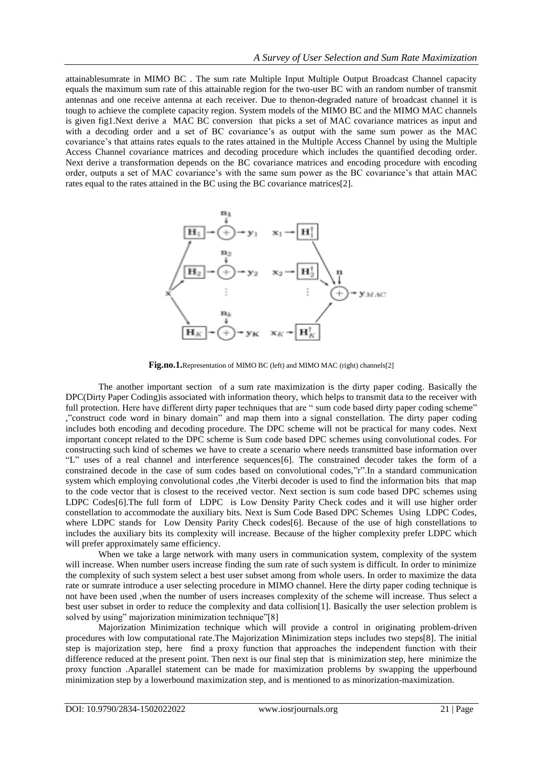attainablesumrate in MIMO BC . The sum rate Multiple Input Multiple Output Broadcast Channel capacity equals the maximum sum rate of this attainable region for the two-user BC with an random number of transmit antennas and one receive antenna at each receiver. Due to thenon-degraded nature of broadcast channel it is tough to achieve the complete capacity region. System models of the MIMO BC and the MIMO MAC channels is given fig1.Next derive a MAC BC conversion that picks a set of MAC covariance matrices as input and with a decoding order and a set of BC covariance's as output with the same sum power as the MAC covariance's that attains rates equals to the rates attained in the Multiple Access Channel by using the Multiple Access Channel covariance matrices and decoding procedure which includes the quantified decoding order. Next derive a transformation depends on the BC covariance matrices and encoding procedure with encoding order, outputs a set of MAC covariance's with the same sum power as the BC covariance's that attain MAC rates equal to the rates attained in the BC using the BC covariance matrices[2].



Fig.no.1.Representation of MIMO BC (left) and MIMO MAC (right) channels<sup>[2]</sup>

The another important section of a sum rate maximization is the dirty paper coding. Basically the DPC(Dirty Paper Coding)is associated with information theory, which helps to transmit data to the receiver with full protection. Here have different dirty paper techniques that are " sum code based dirty paper coding scheme" ,"construct code word in binary domain" and map them into a signal constellation. The dirty paper coding includes both encoding and decoding procedure. The DPC scheme will not be practical for many codes. Next important concept related to the DPC scheme is Sum code based DPC schemes using convolutional codes. For constructing such kind of schemes we have to create a scenario where needs transmitted base information over "L" uses of a real channel and interference sequences[6]. The constrained decoder takes the form of a constrained decode in the case of sum codes based on convolutional codes,"r".In a standard communication system which employing convolutional codes ,the Viterbi decoder is used to find the information bits that map to the code vector that is closest to the received vector. Next section is sum code based DPC schemes using LDPC Codes[6].The full form of LDPC is Low Density Parity Check codes and it will use higher order constellation to accommodate the auxiliary bits. Next is Sum Code Based DPC Schemes Using LDPC Codes, where LDPC stands for Low Density Parity Check codes[6]. Because of the use of high constellations to includes the auxiliary bits its complexity will increase. Because of the higher complexity prefer LDPC which will prefer approximately same efficiency.

When we take a large network with many users in communication system, complexity of the system will increase. When number users increase finding the sum rate of such system is difficult. In order to minimize the complexity of such system select a best user subset among from whole users. In order to maximize the data rate or sumrate introduce a user selecting procedure in MIMO channel. Here the dirty paper coding technique is not have been used ,when the number of users increases complexity of the scheme will increase. Thus select a best user subset in order to reduce the complexity and data collision[1]. Basically the user selection problem is solved by using" majorization minimization technique"[8]

Majorization Minimization technique which will provide a control in originating problem-driven procedures with low computational rate.The Majorization Minimization steps includes two steps[8]. The initial step is majorization step, here find a proxy function that approaches the independent function with their difference reduced at the present point. Then next is our final step that is minimization step, here minimize the proxy function .Aparallel statement can be made for maximization problems by swapping the upperbound minimization step by a lowerbound maximization step, and is mentioned to as minorization-maximization.